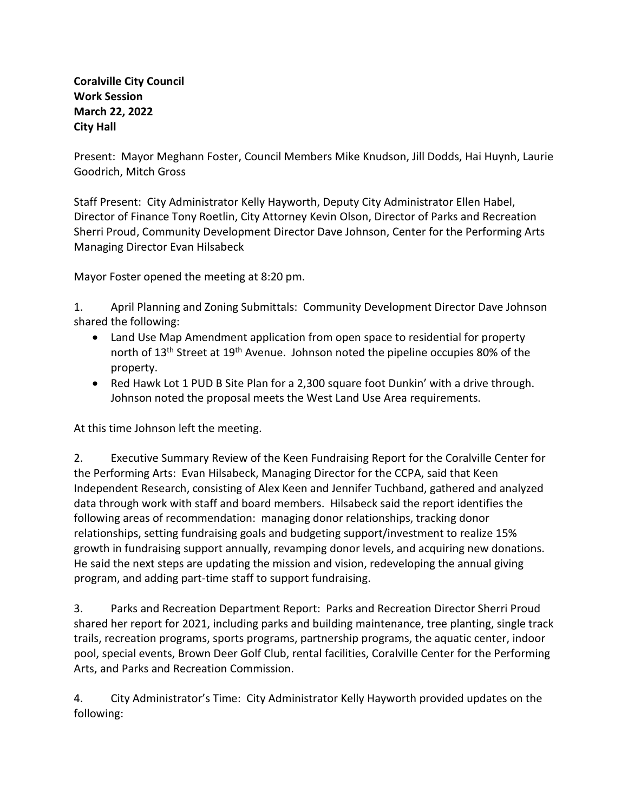## **Coralville City Council Work Session March 22, 2022 City Hall**

Present: Mayor Meghann Foster, Council Members Mike Knudson, Jill Dodds, Hai Huynh, Laurie Goodrich, Mitch Gross

Staff Present: City Administrator Kelly Hayworth, Deputy City Administrator Ellen Habel, Director of Finance Tony Roetlin, City Attorney Kevin Olson, Director of Parks and Recreation Sherri Proud, Community Development Director Dave Johnson, Center for the Performing Arts Managing Director Evan Hilsabeck

Mayor Foster opened the meeting at 8:20 pm.

1. April Planning and Zoning Submittals: Community Development Director Dave Johnson shared the following:

- Land Use Map Amendment application from open space to residential for property north of 13<sup>th</sup> Street at 19<sup>th</sup> Avenue. Johnson noted the pipeline occupies 80% of the property.
- Red Hawk Lot 1 PUD B Site Plan for a 2,300 square foot Dunkin' with a drive through. Johnson noted the proposal meets the West Land Use Area requirements.

At this time Johnson left the meeting.

2. Executive Summary Review of the Keen Fundraising Report for the Coralville Center for the Performing Arts: Evan Hilsabeck, Managing Director for the CCPA, said that Keen Independent Research, consisting of Alex Keen and Jennifer Tuchband, gathered and analyzed data through work with staff and board members. Hilsabeck said the report identifies the following areas of recommendation: managing donor relationships, tracking donor relationships, setting fundraising goals and budgeting support/investment to realize 15% growth in fundraising support annually, revamping donor levels, and acquiring new donations. He said the next steps are updating the mission and vision, redeveloping the annual giving program, and adding part-time staff to support fundraising.

3. Parks and Recreation Department Report: Parks and Recreation Director Sherri Proud shared her report for 2021, including parks and building maintenance, tree planting, single track trails, recreation programs, sports programs, partnership programs, the aquatic center, indoor pool, special events, Brown Deer Golf Club, rental facilities, Coralville Center for the Performing Arts, and Parks and Recreation Commission.

4. City Administrator's Time: City Administrator Kelly Hayworth provided updates on the following: